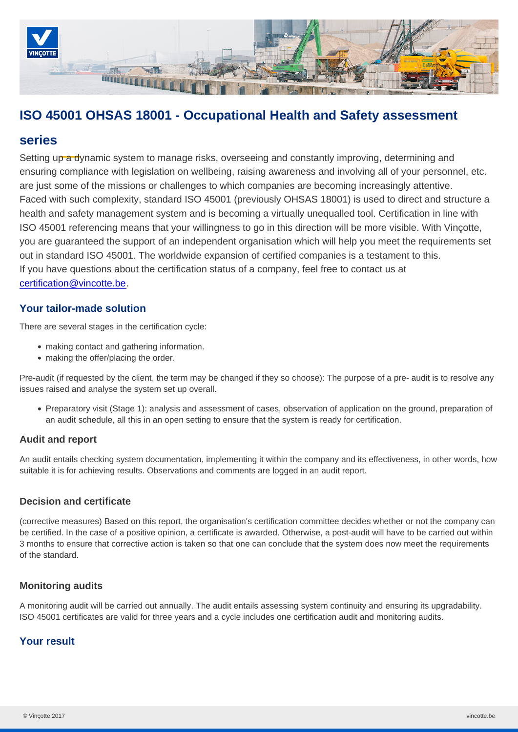# ISO 45001 OHSAS 18001 - Occupational Health and Safety assessment

# series

Setting up a dynamic system to manage risks, overseeing and constantly improving, determining and ensuring compliance with legislation on wellbeing, raising awareness and involving all of your personnel, etc. are just some of the missions or challenges to which companies are becoming increasingly attentive. Faced with such complexity, standard ISO 45001 (previously OHSAS 18001) is used to direct and structure a health and safety management system and is becoming a virtually unequalled tool. Certification in line with ISO 45001 referencing means that your willingness to go in this direction will be more visible. With Vinçotte, you are guaranteed the support of an independent organisation which will help you meet the requirements set out in standard ISO 45001. The worldwide expansion of certified companies is a testament to this. If you have questions about the certification status of a company, feel free to contact us at [certification@vincotte.be](mailto:certification@vincotte.be).

## Your tailor-made solution

There are several stages in the certification cycle:

- making contact and gathering information.
- making the offer/placing the order.

Pre-audit (if requested by the client, the term may be changed if they so choose): The purpose of a pre- audit is to resolve any issues raised and analyse the system set up overall.

Preparatory visit (Stage 1): analysis and assessment of cases, observation of application on the ground, preparation of an audit schedule, all this in an open setting to ensure that the system is ready for certification.

## Audit and report

An audit entails checking system documentation, implementing it within the company and its effectiveness, in other words, how suitable it is for achieving results. Observations and comments are logged in an audit report.

#### Decision and certificate

(corrective measures) Based on this report, the organisation's certification committee decides whether or not the company can be certified. In the case of a positive opinion, a certificate is awarded. Otherwise, a post-audit will have to be carried out within 3 months to ensure that corrective action is taken so that one can conclude that the system does now meet the requirements of the standard.

#### Monitoring audits

A monitoring audit will be carried out annually. The audit entails assessing system continuity and ensuring its upgradability. ISO 45001 certificates are valid for three years and a cycle includes one certification audit and monitoring audits.

## Your result